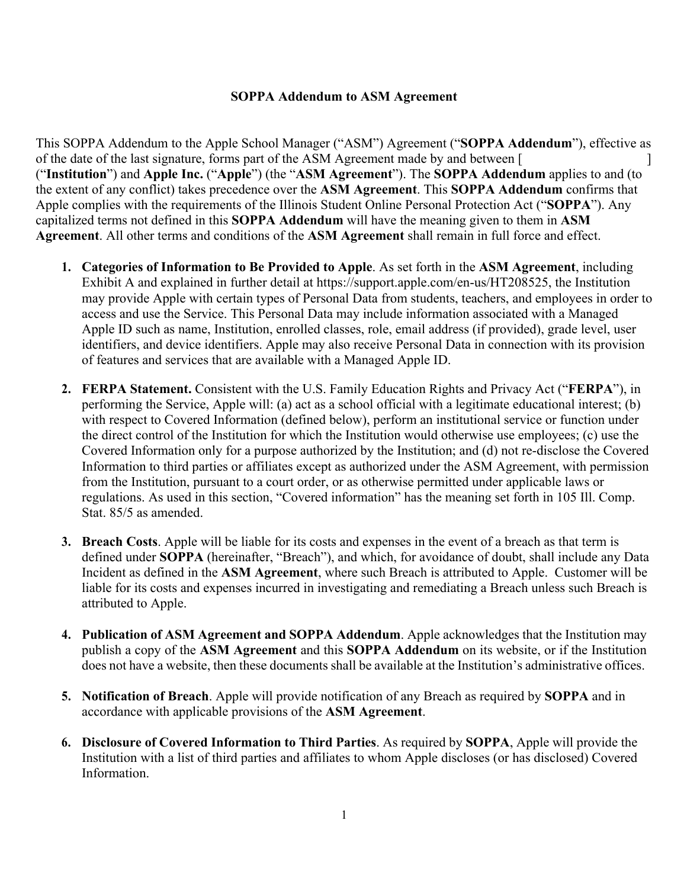## **SOPPA Addendum to ASM Agreement**

This SOPPA Addendum to the Apple School Manager ("ASM") Agreement ("**SOPPA Addendum**"), effective as of the date of the last signature, forms part of the ASM Agreement made by and between [ ] ("**Institution**") and **Apple Inc.** ("**Apple**") (the "**ASM Agreement**"). The **SOPPA Addendum** applies to and (to the extent of any conflict) takes precedence over the **ASM Agreement**. This **SOPPA Addendum** confirms that Apple complies with the requirements of the Illinois Student Online Personal Protection Act ("**SOPPA**"). Any capitalized terms not defined in this **SOPPA Addendum** will have the meaning given to them in **ASM Agreement**. All other terms and conditions of the **ASM Agreement** shall remain in full force and effect.

- **1. Categories of Information to Be Provided to Apple**. As set forth in the **ASM Agreement**, including Exhibit A and explained in further detail at https://support.apple.com/en-us/HT208525, the Institution may provide Apple with certain types of Personal Data from students, teachers, and employees in order to access and use the Service. This Personal Data may include information associated with a Managed Apple ID such as name, Institution, enrolled classes, role, email address (if provided), grade level, user identifiers, and device identifiers. Apple may also receive Personal Data in connection with its provision of features and services that are available with a Managed Apple ID.
- **2. FERPA Statement.** Consistent with the U.S. Family Education Rights and Privacy Act ("**FERPA**"), in performing the Service, Apple will: (a) act as a school official with a legitimate educational interest; (b) with respect to Covered Information (defined below), perform an institutional service or function under the direct control of the Institution for which the Institution would otherwise use employees; (c) use the Covered Information only for a purpose authorized by the Institution; and (d) not re-disclose the Covered Information to third parties or affiliates except as authorized under the ASM Agreement, with permission from the Institution, pursuant to a court order, or as otherwise permitted under applicable laws or regulations. As used in this section, "Covered information" has the meaning set forth in 105 Ill. Comp. Stat. 85/5 as amended.
- **3. Breach Costs**. Apple will be liable for its costs and expenses in the event of a breach as that term is defined under **SOPPA** (hereinafter, "Breach"), and which, for avoidance of doubt, shall include any Data Incident as defined in the **ASM Agreement**, where such Breach is attributed to Apple. Customer will be liable for its costs and expenses incurred in investigating and remediating a Breach unless such Breach is attributed to Apple.
- **4. Publication of ASM Agreement and SOPPA Addendum**. Apple acknowledges that the Institution may publish a copy of the **ASM Agreement** and this **SOPPA Addendum** on its website, or if the Institution does not have a website, then these documents shall be available at the Institution's administrative offices.
- **5. Notification of Breach**. Apple will provide notification of any Breach as required by **SOPPA** and in accordance with applicable provisions of the **ASM Agreement**.
- **6. Disclosure of Covered Information to Third Parties**. As required by **SOPPA**, Apple will provide the Institution with a list of third parties and affiliates to whom Apple discloses (or has disclosed) Covered Information.